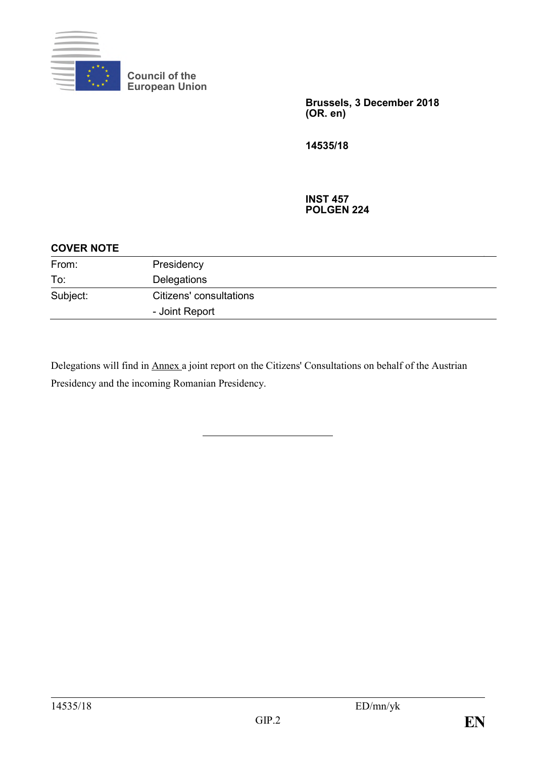

**Council of the European Union**

> **Brussels, 3 December 2018 (OR. en)**

**14535/18**

**INST 457 POLGEN 224**

| <b>COVER NOTE</b> |                         |  |
|-------------------|-------------------------|--|
| From:             | Presidency              |  |
| To:               | Delegations             |  |
| Subject:          | Citizens' consultations |  |
|                   | - Joint Report          |  |

Delegations will find in Annex a joint report on the Citizens' Consultations on behalf of the Austrian Presidency and the incoming Romanian Presidency.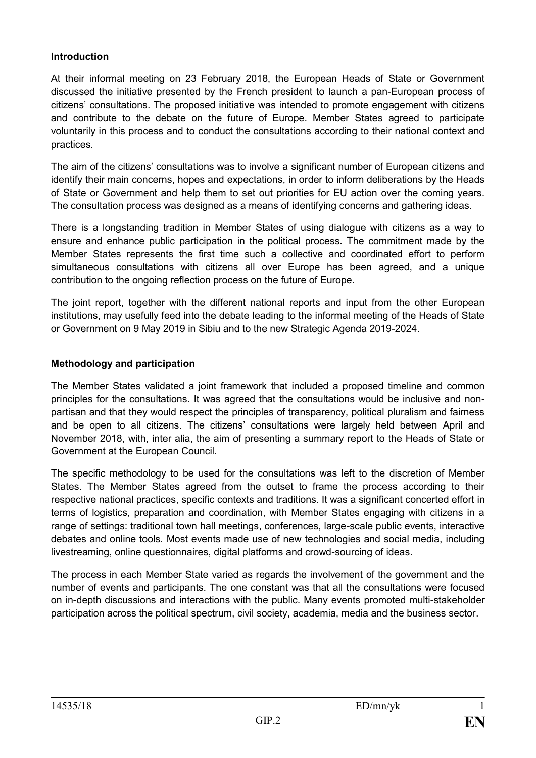#### **Introduction**

At their informal meeting on 23 February 2018, the European Heads of State or Government discussed the initiative presented by the French president to launch a pan-European process of citizens' consultations. The proposed initiative was intended to promote engagement with citizens and contribute to the debate on the future of Europe. Member States agreed to participate voluntarily in this process and to conduct the consultations according to their national context and practices.

The aim of the citizens' consultations was to involve a significant number of European citizens and identify their main concerns, hopes and expectations, in order to inform deliberations by the Heads of State or Government and help them to set out priorities for EU action over the coming years. The consultation process was designed as a means of identifying concerns and gathering ideas.

There is a longstanding tradition in Member States of using dialogue with citizens as a way to ensure and enhance public participation in the political process. The commitment made by the Member States represents the first time such a collective and coordinated effort to perform simultaneous consultations with citizens all over Europe has been agreed, and a unique contribution to the ongoing reflection process on the future of Europe.

The joint report, together with the different national reports and input from the other European institutions, may usefully feed into the debate leading to the informal meeting of the Heads of State or Government on 9 May 2019 in Sibiu and to the new Strategic Agenda 2019-2024.

### **Methodology and participation**

The Member States validated a joint framework that included a proposed timeline and common principles for the consultations. It was agreed that the consultations would be inclusive and nonpartisan and that they would respect the principles of transparency, political pluralism and fairness and be open to all citizens. The citizens' consultations were largely held between April and November 2018, with, inter alia, the aim of presenting a summary report to the Heads of State or Government at the European Council.

The specific methodology to be used for the consultations was left to the discretion of Member States. The Member States agreed from the outset to frame the process according to their respective national practices, specific contexts and traditions. It was a significant concerted effort in terms of logistics, preparation and coordination, with Member States engaging with citizens in a range of settings: traditional town hall meetings, conferences, large-scale public events, interactive debates and online tools. Most events made use of new technologies and social media, including livestreaming, online questionnaires, digital platforms and crowd-sourcing of ideas.

The process in each Member State varied as regards the involvement of the government and the number of events and participants. The one constant was that all the consultations were focused on in-depth discussions and interactions with the public. Many events promoted multi-stakeholder participation across the political spectrum, civil society, academia, media and the business sector.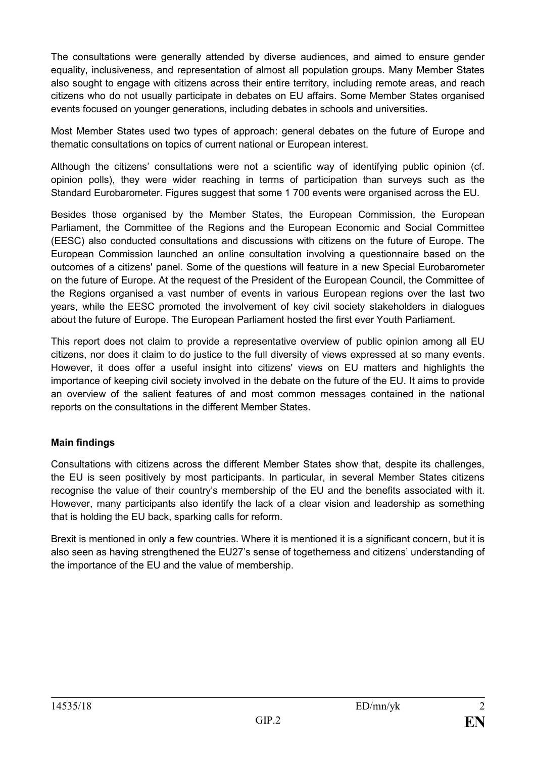The consultations were generally attended by diverse audiences, and aimed to ensure gender equality, inclusiveness, and representation of almost all population groups. Many Member States also sought to engage with citizens across their entire territory, including remote areas, and reach citizens who do not usually participate in debates on EU affairs. Some Member States organised events focused on younger generations, including debates in schools and universities.

Most Member States used two types of approach: general debates on the future of Europe and thematic consultations on topics of current national or European interest.

Although the citizens' consultations were not a scientific way of identifying public opinion (cf. opinion polls), they were wider reaching in terms of participation than surveys such as the Standard Eurobarometer. Figures suggest that some 1 700 events were organised across the EU.

Besides those organised by the Member States, the European Commission, the European Parliament, the Committee of the Regions and the European Economic and Social Committee (EESC) also conducted consultations and discussions with citizens on the future of Europe. The European Commission launched an online consultation involving a questionnaire based on the outcomes of a citizens' panel. Some of the questions will feature in a new Special Eurobarometer on the future of Europe. At the request of the President of the European Council, the Committee of the Regions organised a vast number of events in various European regions over the last two years, while the EESC promoted the involvement of key civil society stakeholders in dialogues about the future of Europe. The European Parliament hosted the first ever Youth Parliament.

This report does not claim to provide a representative overview of public opinion among all EU citizens, nor does it claim to do justice to the full diversity of views expressed at so many events. However, it does offer a useful insight into citizens' views on EU matters and highlights the importance of keeping civil society involved in the debate on the future of the EU. It aims to provide an overview of the salient features of and most common messages contained in the national reports on the consultations in the different Member States.

### **Main findings**

Consultations with citizens across the different Member States show that, despite its challenges, the EU is seen positively by most participants. In particular, in several Member States citizens recognise the value of their country's membership of the EU and the benefits associated with it. However, many participants also identify the lack of a clear vision and leadership as something that is holding the EU back, sparking calls for reform.

Brexit is mentioned in only a few countries. Where it is mentioned it is a significant concern, but it is also seen as having strengthened the EU27's sense of togetherness and citizens' understanding of the importance of the EU and the value of membership.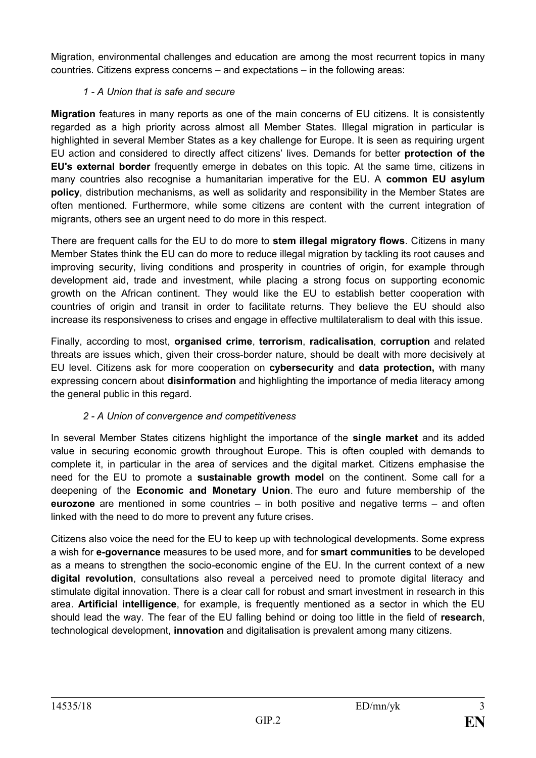Migration, environmental challenges and education are among the most recurrent topics in many countries. Citizens express concerns – and expectations – in the following areas:

### *1 - A Union that is safe and secure*

**Migration** features in many reports as one of the main concerns of EU citizens. It is consistently regarded as a high priority across almost all Member States. Illegal migration in particular is highlighted in several Member States as a key challenge for Europe. It is seen as requiring urgent EU action and considered to directly affect citizens' lives. Demands for better **protection of the EU's external border** frequently emerge in debates on this topic. At the same time, citizens in many countries also recognise a humanitarian imperative for the EU. A **common EU asylum policy**, distribution mechanisms, as well as solidarity and responsibility in the Member States are often mentioned. Furthermore, while some citizens are content with the current integration of migrants, others see an urgent need to do more in this respect.

There are frequent calls for the EU to do more to **stem illegal migratory flows**. Citizens in many Member States think the EU can do more to reduce illegal migration by tackling its root causes and improving security, living conditions and prosperity in countries of origin, for example through development aid, trade and investment, while placing a strong focus on supporting economic growth on the African continent. They would like the EU to establish better cooperation with countries of origin and transit in order to facilitate returns. They believe the EU should also increase its responsiveness to crises and engage in effective multilateralism to deal with this issue.

Finally, according to most, **organised crime**, **terrorism**, **radicalisation**, **corruption** and related threats are issues which, given their cross-border nature, should be dealt with more decisively at EU level. Citizens ask for more cooperation on **cybersecurity** and **data protection,** with many expressing concern about **disinformation** and highlighting the importance of media literacy among the general public in this regard.

# *2 - A Union of convergence and competitiveness*

In several Member States citizens highlight the importance of the **single market** and its added value in securing economic growth throughout Europe. This is often coupled with demands to complete it, in particular in the area of services and the digital market. Citizens emphasise the need for the EU to promote a **sustainable growth model** on the continent. Some call for a deepening of the **Economic and Monetary Union**. The euro and future membership of the **eurozone** are mentioned in some countries – in both positive and negative terms – and often linked with the need to do more to prevent any future crises.

Citizens also voice the need for the EU to keep up with technological developments. Some express a wish for **e-governance** measures to be used more, and for **smart communities** to be developed as a means to strengthen the socio-economic engine of the EU. In the current context of a new **digital revolution**, consultations also reveal a perceived need to promote digital literacy and stimulate digital innovation. There is a clear call for robust and smart investment in research in this area. **Artificial intelligence**, for example, is frequently mentioned as a sector in which the EU should lead the way. The fear of the EU falling behind or doing too little in the field of **research**, technological development, **innovation** and digitalisation is prevalent among many citizens.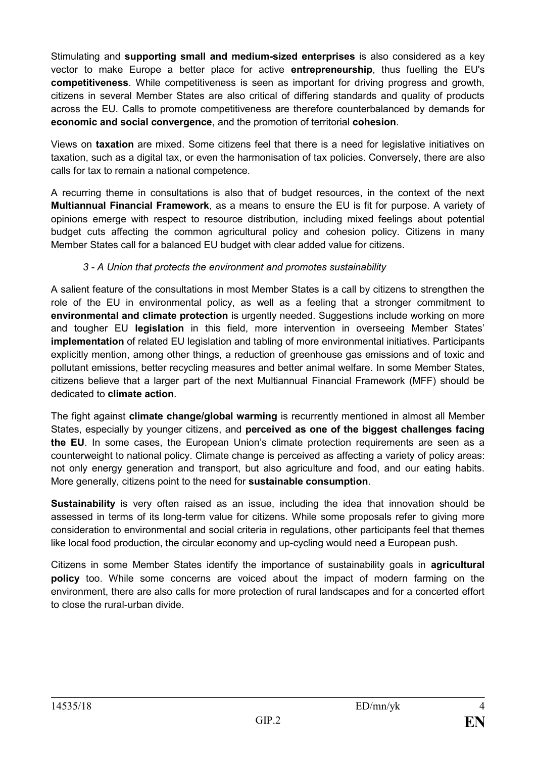Stimulating and **supporting small and medium-sized enterprises** is also considered as a key vector to make Europe a better place for active **entrepreneurship**, thus fuelling the EU's **competitiveness**. While competitiveness is seen as important for driving progress and growth, citizens in several Member States are also critical of differing standards and quality of products across the EU. Calls to promote competitiveness are therefore counterbalanced by demands for **economic and social convergence**, and the promotion of territorial **cohesion**.

Views on **taxation** are mixed. Some citizens feel that there is a need for legislative initiatives on taxation, such as a digital tax, or even the harmonisation of tax policies. Conversely, there are also calls for tax to remain a national competence.

A recurring theme in consultations is also that of budget resources, in the context of the next **Multiannual Financial Framework**, as a means to ensure the EU is fit for purpose. A variety of opinions emerge with respect to resource distribution, including mixed feelings about potential budget cuts affecting the common agricultural policy and cohesion policy. Citizens in many Member States call for a balanced EU budget with clear added value for citizens.

### *3 - A Union that protects the environment and promotes sustainability*

A salient feature of the consultations in most Member States is a call by citizens to strengthen the role of the EU in environmental policy, as well as a feeling that a stronger commitment to **environmental and climate protection** is urgently needed. Suggestions include working on more and tougher EU **legislation** in this field, more intervention in overseeing Member States' **implementation** of related EU legislation and tabling of more environmental initiatives. Participants explicitly mention, among other things, a reduction of greenhouse gas emissions and of toxic and pollutant emissions, better recycling measures and better animal welfare. In some Member States, citizens believe that a larger part of the next Multiannual Financial Framework (MFF) should be dedicated to **climate action**.

The fight against **climate change/global warming** is recurrently mentioned in almost all Member States, especially by younger citizens, and **perceived as one of the biggest challenges facing the EU**. In some cases, the European Union's climate protection requirements are seen as a counterweight to national policy. Climate change is perceived as affecting a variety of policy areas: not only energy generation and transport, but also agriculture and food, and our eating habits. More generally, citizens point to the need for **sustainable consumption**.

**Sustainability** is very often raised as an issue, including the idea that innovation should be assessed in terms of its long-term value for citizens. While some proposals refer to giving more consideration to environmental and social criteria in regulations, other participants feel that themes like local food production, the circular economy and up-cycling would need a European push.

Citizens in some Member States identify the importance of sustainability goals in **agricultural policy** too. While some concerns are voiced about the impact of modern farming on the environment, there are also calls for more protection of rural landscapes and for a concerted effort to close the rural-urban divide.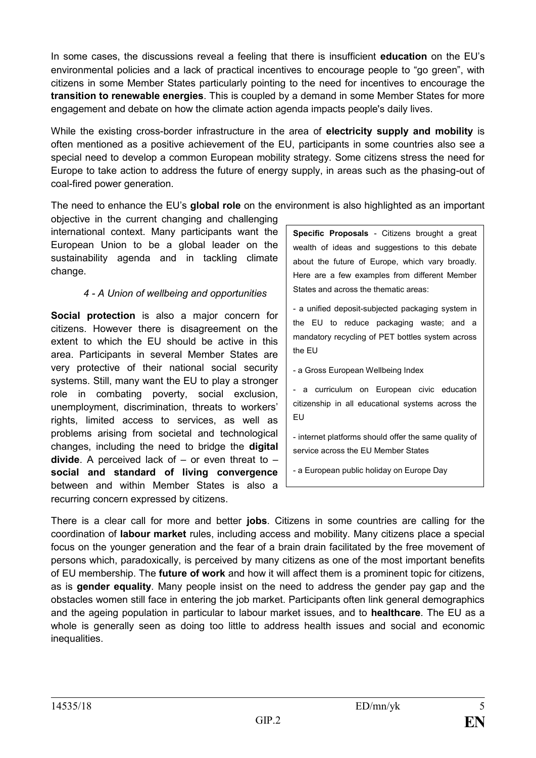In some cases, the discussions reveal a feeling that there is insufficient **education** on the EU's environmental policies and a lack of practical incentives to encourage people to "go green", with citizens in some Member States particularly pointing to the need for incentives to encourage the **transition to renewable energies**. This is coupled by a demand in some Member States for more engagement and debate on how the climate action agenda impacts people's daily lives.

While the existing cross-border infrastructure in the area of **electricity supply and mobility** is often mentioned as a positive achievement of the EU, participants in some countries also see a special need to develop a common European mobility strategy. Some citizens stress the need for Europe to take action to address the future of energy supply, in areas such as the phasing-out of coal-fired power generation.

The need to enhance the EU's **global role** on the environment is also highlighted as an important

objective in the current changing and challenging international context. Many participants want the European Union to be a global leader on the sustainability agenda and in tackling climate change.

#### *4 - A Union of wellbeing and opportunities*

**Social protection** is also a major concern for citizens. However there is disagreement on the extent to which the EU should be active in this area. Participants in several Member States are very protective of their national social security systems. Still, many want the EU to play a stronger role in combating poverty, social exclusion, unemployment, discrimination, threats to workers' rights, limited access to services, as well as problems arising from societal and technological changes, including the need to bridge the **digital divide**. A perceived lack of – or even threat to – **social and standard of living convergence** between and within Member States is also a recurring concern expressed by citizens.

**Specific Proposals** - Citizens brought a great wealth of ideas and suggestions to this debate about the future of Europe, which vary broadly. Here are a few examples from different Member States and across the thematic areas:

- a unified deposit-subjected packaging system in the EU to reduce packaging waste; and a mandatory recycling of PET bottles system across the EU

- a Gross European Wellbeing Index

- a curriculum on European civic education citizenship in all educational systems across the EU

- internet platforms should offer the same quality of service across the EU Member States

- a European public holiday on Europe Day

There is a clear call for more and better **jobs**. Citizens in some countries are calling for the coordination of **labour market** rules, including access and mobility. Many citizens place a special focus on the younger generation and the fear of a brain drain facilitated by the free movement of persons which, paradoxically, is perceived by many citizens as one of the most important benefits of EU membership. The **future of work** and how it will affect them is a prominent topic for citizens, as is **gender equality**. Many people insist on the need to address the gender pay gap and the obstacles women still face in entering the job market. Participants often link general demographics and the ageing population in particular to labour market issues, and to **healthcare**. The EU as a whole is generally seen as doing too little to address health issues and social and economic inequalities.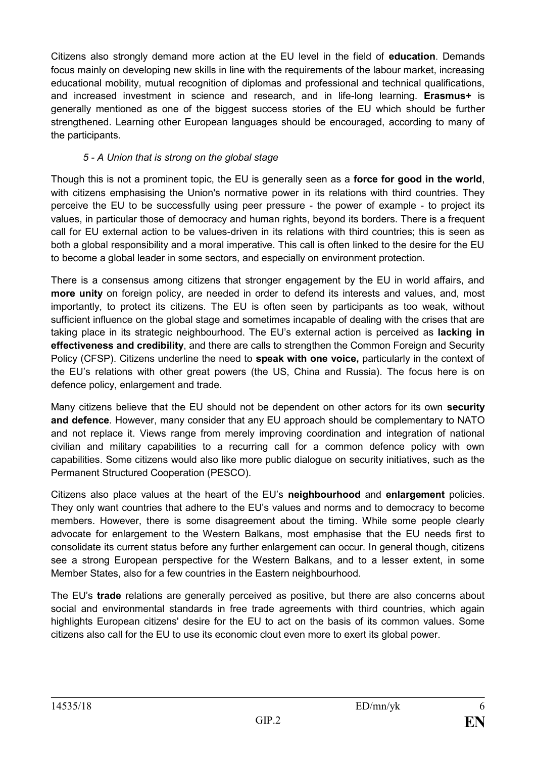Citizens also strongly demand more action at the EU level in the field of **education**. Demands focus mainly on developing new skills in line with the requirements of the labour market, increasing educational mobility, mutual recognition of diplomas and professional and technical qualifications, and increased investment in science and research, and in life-long learning. **Erasmus+** is generally mentioned as one of the biggest success stories of the EU which should be further strengthened. Learning other European languages should be encouraged, according to many of the participants.

## *5 - A Union that is strong on the global stage*

Though this is not a prominent topic, the EU is generally seen as a **force for good in the world**, with citizens emphasising the Union's normative power in its relations with third countries. They perceive the EU to be successfully using peer pressure - the power of example - to project its values, in particular those of democracy and human rights, beyond its borders. There is a frequent call for EU external action to be values-driven in its relations with third countries; this is seen as both a global responsibility and a moral imperative. This call is often linked to the desire for the EU to become a global leader in some sectors, and especially on environment protection.

There is a consensus among citizens that stronger engagement by the EU in world affairs, and **more unity** on foreign policy, are needed in order to defend its interests and values, and, most importantly, to protect its citizens. The EU is often seen by participants as too weak, without sufficient influence on the global stage and sometimes incapable of dealing with the crises that are taking place in its strategic neighbourhood. The EU's external action is perceived as **lacking in effectiveness and credibility**, and there are calls to strengthen the Common Foreign and Security Policy (CFSP). Citizens underline the need to **speak with one voice,** particularly in the context of the EU's relations with other great powers (the US, China and Russia). The focus here is on defence policy, enlargement and trade.

Many citizens believe that the EU should not be dependent on other actors for its own **security and defence**. However, many consider that any EU approach should be complementary to NATO and not replace it. Views range from merely improving coordination and integration of national civilian and military capabilities to a recurring call for a common defence policy with own capabilities. Some citizens would also like more public dialogue on security initiatives, such as the Permanent Structured Cooperation (PESCO).

Citizens also place values at the heart of the EU's **neighbourhood** and **enlargement** policies. They only want countries that adhere to the EU's values and norms and to democracy to become members. However, there is some disagreement about the timing. While some people clearly advocate for enlargement to the Western Balkans, most emphasise that the EU needs first to consolidate its current status before any further enlargement can occur. In general though, citizens see a strong European perspective for the Western Balkans, and to a lesser extent, in some Member States, also for a few countries in the Eastern neighbourhood.

The EU's **trade** relations are generally perceived as positive, but there are also concerns about social and environmental standards in free trade agreements with third countries, which again highlights European citizens' desire for the EU to act on the basis of its common values. Some citizens also call for the EU to use its economic clout even more to exert its global power.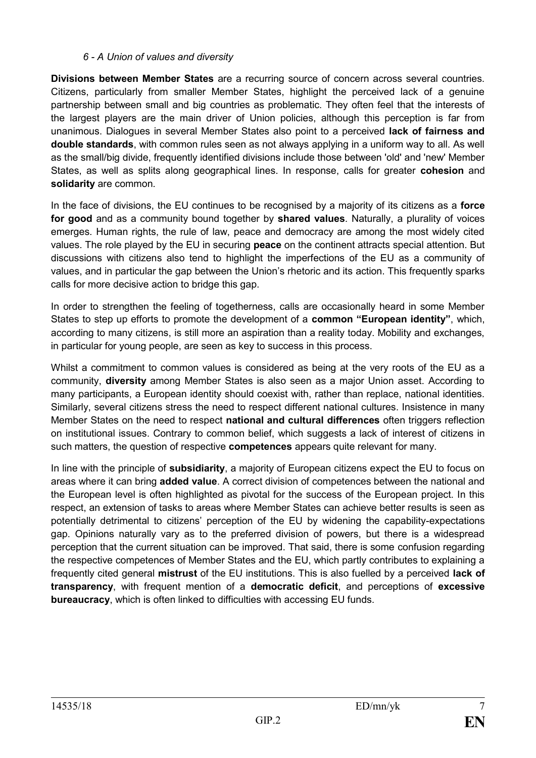#### *6 - A Union of values and diversity*

**Divisions between Member States** are a recurring source of concern across several countries. Citizens, particularly from smaller Member States, highlight the perceived lack of a genuine partnership between small and big countries as problematic. They often feel that the interests of the largest players are the main driver of Union policies, although this perception is far from unanimous. Dialogues in several Member States also point to a perceived **lack of fairness and double standards**, with common rules seen as not always applying in a uniform way to all. As well as the small/big divide, frequently identified divisions include those between 'old' and 'new' Member States, as well as splits along geographical lines. In response, calls for greater **cohesion** and **solidarity** are common.

In the face of divisions, the EU continues to be recognised by a majority of its citizens as a **force for good** and as a community bound together by **shared values**. Naturally, a plurality of voices emerges. Human rights, the rule of law, peace and democracy are among the most widely cited values. The role played by the EU in securing **peace** on the continent attracts special attention. But discussions with citizens also tend to highlight the imperfections of the EU as a community of values, and in particular the gap between the Union's rhetoric and its action. This frequently sparks calls for more decisive action to bridge this gap.

In order to strengthen the feeling of togetherness, calls are occasionally heard in some Member States to step up efforts to promote the development of a **common "European identity"**, which, according to many citizens, is still more an aspiration than a reality today. Mobility and exchanges, in particular for young people, are seen as key to success in this process.

Whilst a commitment to common values is considered as being at the very roots of the EU as a community, **diversity** among Member States is also seen as a major Union asset. According to many participants, a European identity should coexist with, rather than replace, national identities. Similarly, several citizens stress the need to respect different national cultures. Insistence in many Member States on the need to respect **national and cultural differences** often triggers reflection on institutional issues. Contrary to common belief, which suggests a lack of interest of citizens in such matters, the question of respective **competences** appears quite relevant for many.

In line with the principle of **subsidiarity**, a majority of European citizens expect the EU to focus on areas where it can bring **added value**. A correct division of competences between the national and the European level is often highlighted as pivotal for the success of the European project. In this respect, an extension of tasks to areas where Member States can achieve better results is seen as potentially detrimental to citizens' perception of the EU by widening the capability-expectations gap. Opinions naturally vary as to the preferred division of powers, but there is a widespread perception that the current situation can be improved. That said, there is some confusion regarding the respective competences of Member States and the EU, which partly contributes to explaining a frequently cited general **mistrust** of the EU institutions. This is also fuelled by a perceived **lack of transparency**, with frequent mention of a **democratic deficit**, and perceptions of **excessive bureaucracy**, which is often linked to difficulties with accessing EU funds.